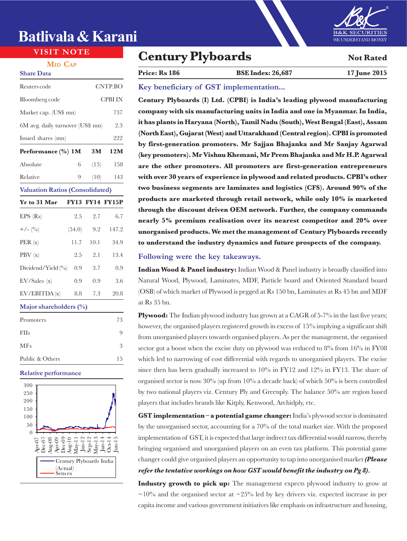# **Batlivala & Karani**

#### **MID CAP Share Data**

| Reuters code                           |        |      | CNTP.BO                |  |
|----------------------------------------|--------|------|------------------------|--|
| Bloomberg code                         |        |      | CPBI IN                |  |
| Market cap. (US\$ mn)                  |        |      | 737                    |  |
| 6M avg. daily turnover (US\$ mn)       |        |      | 2.3                    |  |
| Issued shares (mn)                     |        |      | 222                    |  |
| Performance (%) 1M                     |        | 3M   | 12M                    |  |
| Absolute                               | 6      | (15) | 158                    |  |
| Relative                               | 9      | (10) | 143                    |  |
| <b>Valuation Ratios (Consolidated)</b> |        |      |                        |  |
| Yr to 31 Mar                           |        |      | <b>FY13 FY14 FY15P</b> |  |
| EPS (Rs)                               | 2.5    | 2.7  | 6.7                    |  |
| $+/- (0/0)$                            | (54.0) | 9.2  | 147.2                  |  |
| PER(x)                                 | 11.7   | 10.1 | 34.9                   |  |
| PBV (x)                                | 2.5    | 2.1  | 13.4                   |  |
| Dividend/Yield (%)                     | 0.9    | 3.7  | 0.9                    |  |
| EV/Sales(x)                            | 0.9    | 0.9  | 3.6                    |  |
| EV/EBITDA(x)                           | 8.8    | 7.3  | 20.8                   |  |
| Major shareholders (%)                 |        |      |                        |  |
| Promoters                              |        |      | 73                     |  |

| <b>FIIs</b>     | 9  |
|-----------------|----|
| <b>MFs</b>      | 3  |
| Public & Others | 15 |
|                 |    |

### **Relative performance**



# **VISIT NOTE Century Plyboards Not Rated**

## **Price: Rs 186 BSE Index: 26,687 17 June 2015**

### **Key beneficiary of GST implementation...**

**Century Plyboards (I) Ltd. (CPBI) is India's leading plywood manufacturing company with six manufacturing units in India and one in Myanmar. In India, it has plants in Haryana (North), Tamil Nadu (South), West Bengal (East), Assam (North East), Gujarat (West) and Uttarakhand (Central region). CPBI is promoted by first-generation promoters. Mr Sajjan Bhajanka and Mr Sanjay Agarwal (key promoters). Mr Vishnu Khemani, Mr Prem Bhajanka and Mr H.P. Agarwal are the other promoters. All promoters are first-generation entrepreneurs with over 30 years of experience in plywood and related products. CPBI's other two business segments are laminates and logistics (CFS). Around 90% of the products are marketed through retail network, while only 10% is marketed through the discount driven OEM network. Further, the company commands nearly 5% premium realisation over its nearest competitor and 20% over unorganised products. We met the management of Century Plyboards recently to understand the industry dynamics and future prospects of the company.**

### **Following were the key takeaways.**

**Indian Wood & Panel industry:** Indian Wood & Panel industry is broadly classified into Natural Wood, Plywood, Laminates, MDF, Particle board and Oriented Standard board (OSB) of which market of Plywood is pegged at Rs 150 bn, Laminates at Rs 45 bn and MDF at Rs 35 bn.

Plywood: The Indian plywood industry has grown at a CAGR of 5-7% in the last five years; however, the organised players registered growth in excess of 15% implying a significant shift from unorganised players towards organised players. As per the management, the organised sector got a boost when the excise duty on plywood was reduced to 8% from 16% in FY08 which led to narrowing of cost differential with regards to unorganised players. The excise since then has been gradually increased to  $10\%$  in FY12 and  $12\%$  in FY13. The share of organised sector is now 30% (up from 10% a decade back) of which 50% is been controlled by two national players viz. Century Ply and Greenply. The balance 50% are region based players that includes brands like Kitply, Kenwood, Archidply, etc.

**GST implementation – a potential game changer:** India's plywood sector is dominated by the unorganised sector, accounting for a 70% of the total market size. With the proposed implementation of GST, it is expected that large indirect tax differential would narrow, thereby bringing organised and unorganised players on an even tax platform. This potential game changer could give organised players an opportunity to tap into unorganised market *(Please refer the tentative workings on how GST would benefit the industry on Pg 8).*

**Industry growth to pick up:** The management expects plywood industry to grow at  $\sim$ 10% and the organised sector at  $\sim$ 25% led by key drivers viz. expected increase in per capita income and various government initiatives like emphasis on infrastructure and housing,

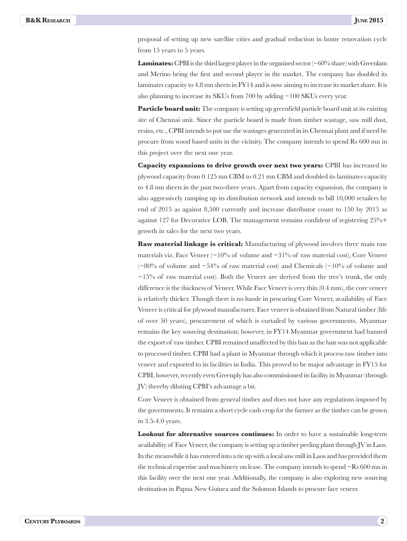proposal of setting up new satellite cities and gradual reduction in home renovation cycle from 15 years to 5 years.

**Laminates:** CPBI is the third largest player in the organised sector  $\sim 60\%$  share) with Greenlam and Merino being the first and second player in the market. The company has doubled its laminates capacity to 4.8 mn sheets in FY14 and is now aiming to increase its market share. It is also planning to increase its SKUs from 700 by adding ~100 SKUs every year.

**Particle board unit:** The company is setting up greenfield particle board unit at its existing site of Chennai unit. Since the particle board is made from timber wastage, saw mill dust, resins, etc., CPBI intends to put use the wastages generated in its Chennai plant and if need be procure from wood based units in the vicinity. The company intends to spend Rs 600 mn in this project over the next one year.

**Capacity expansions to drive growth over next two years:** CPBI has increased its plywood capacity from 0.125 mn CBM to 0.21 mn CBM and doubled its laminates capacity to 4.8 mn sheets in the past two-three years. Apart from capacity expansion, the company is also aggressively ramping up its distribution network and intends to bill 10,000 retailers by end of 2015 as against 8,500 currently and increase distributor count to 150 by 2015 as against 127 for Decorative LOB. The management remains confident of registering 25%+ growth in sales for the next two years.

**Raw material linkage is critical:** Manufacturing of plywood involves three main raw materials viz. Face Veneer ( $\sim$ 10% of volume and  $\sim$ 31% of raw material cost), Core Veneer ( $\sim80\%$  of volume and  $\sim54\%$  of raw material cost) and Chemicals ( $\sim10\%$  of volume and  $\sim$ 15% of raw material cost). Both the Veneer are derived from the tree's trunk, the only difference is the thickness of Veneer. While Face Veneer is very thin (0.4 mm), the core veneer is relatively thicker. Though there is no hassle in procuring Core Veneer, availability of Face Veneer is critical for plywood manufacturer. Face veneer is obtained from Natural timber (life of over 50 years), procurement of which is curtailed by various governments. Myanmar remains the key sourcing destination; however, in FY14 Myanmar government had banned the export of raw timber. CPBI remained unaffected by this ban as the ban was not applicable to processed timber. CPBI had a plant in Myanmar through which it process raw timber into veneer and exported to its facilities in India. This proved to be major advantage in FY15 for CPBI, however, recently even Greenply has also commissioned its facility in Myanmar (through JV) thereby diluting CPBI's advantage a bit.

Core Veneer is obtained from general timber and does not have any regulations imposed by the governments. It remains a short cycle cash crop for the farmer as the timber can be grown in 3.5-4.0 years.

**Lookout for alternative sources continues:** In order to have a sustainable long-term availability of Face Veneer, the company is setting up a timber peeling plant through JV in Laos. In the meanwhile it has entered into a tie up with a local saw mill in Laos and has provided them the technical expertise and machinery on lease. The company intends to spend  $\sim$ Rs 600 mn in this facility over the next one year. Additionally, the company is also exploring new sourcing destination in Papua New Guinea and the Solomon Islands to procure face veneer.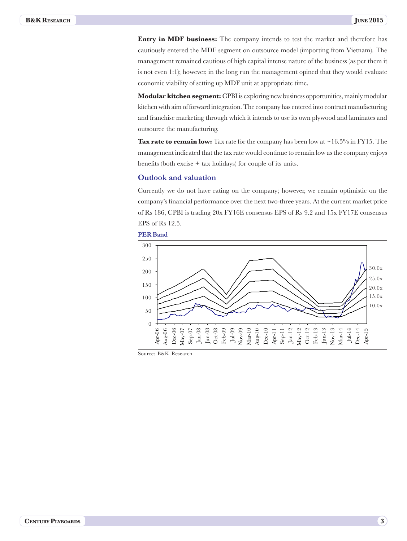**Entry in MDF business:** The company intends to test the market and therefore has cautiously entered the MDF segment on outsource model (importing from Vietnam). The management remained cautious of high capital intense nature of the business (as per them it is not even 1:1); however, in the long run the management opined that they would evaluate economic viability of setting up MDF unit at appropriate time.

**Modular kitchen segment:** CPBI is exploring new business opportunities, mainly modular kitchen with aim of forward integration. The company has entered into contract manufacturing and franchise marketing through which it intends to use its own plywood and laminates and outsource the manufacturing.

**Tax rate to remain low:** Tax rate for the company has been low at  $\sim$  16.5% in FY15. The management indicated that the tax rate would continue to remain low as the company enjoys benefits (both excise + tax holidays) for couple of its units.

### **Outlook and valuation**

Currently we do not have rating on the company; however, we remain optimistic on the company's financial performance over the next two-three years. At the current market price of Rs 186, CPBI is trading 20x FY16E consensus EPS of Rs 9.2 and 15x FY17E consensus EPS of Rs 12.5.





Source: B&K Research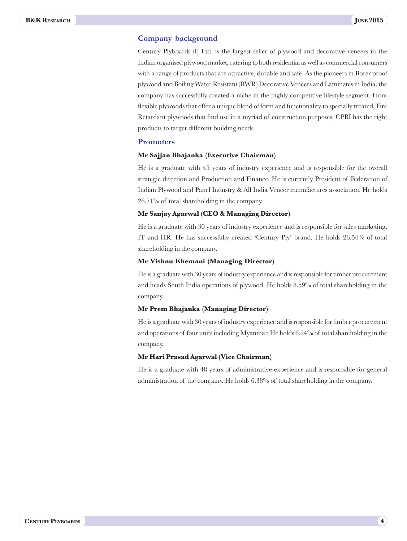### **Company background**

Century Plyboards (I) Ltd. is the largest seller of plywood and decorative veneers in the Indian organised plywood market, catering to both residential as well as commercial consumers with a range of products that are attractive, durable and safe. As the pioneers in Borer proof plywood and Boiling Water Resistant (BWR) Decorative Veneers and Laminates in India, the company has successfully created a niche in the highly competitive lifestyle segment. From flexible plywoods that offer a unique blend of form and functionality to specially treated, Fire Retardant plywoods that find use in a myriad of construction purposes, CPBI has the right products to target different building needs.

#### **Promoters**

#### **Mr Sajjan Bhajanka (Executive Chairman)**

He is a graduate with 45 years of industry experience and is responsible for the overall strategic direction and Production and Finance. He is currently President of Federation of Indian Plywood and Panel Industry & All India Veneer manufactures association. He holds 26.71% of total shareholding in the company.

#### **Mr Sanjay Agarwal (CEO & Managing Director)**

He is a graduate with 30 years of industry experience and is responsible for sales marketing, IT and HR. He has successfully created 'Century Ply' brand. He holds 26.54% of total shareholding in the company.

#### **Mr Vishnu Khemani (Managing Director)**

He is a graduate with 30 years of industry experience and is responsible for timber procurement and heads South India operations of plywood. He holds 8.59% of total shareholding in the company.

#### **Mr Prem Bhajanka (Managing Director)**

He is a graduate with 30 years of industry experience and is responsible for timber procurement and operations of four units including Myanmar. He holds 6.24% of total shareholding in the company.

#### **Mr Hari Prasad Agarwal (Vice Chairman)**

He is a graduate with 48 years of administrative experience and is responsible for general administration of the company. He holds 6.38% of total shareholding in the company.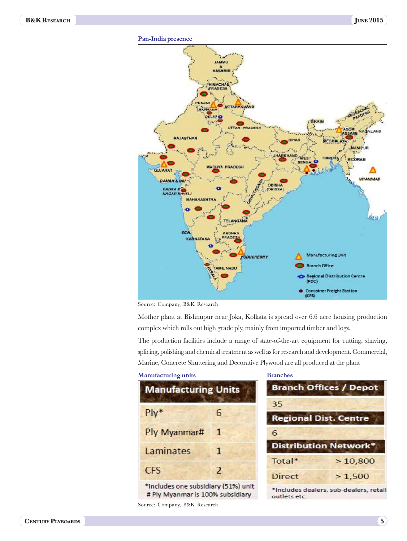

Source: Company, B&K Research

Mother plant at Bishnupur near Joka, Kolkata is spread over 6.6 acre housing production complex which rolls out high grade ply, mainly from imported timber and logs.

The production facilities include a range of state-of-the-art equipment for cutting, shaving, splicing, polishing and chemical treatment as well as for research and development. Commercial, Marine, Concrete Shuttering and Decorative Plywood are all produced at the plant

#### **Manufacturing units**

| <b>Manufacturing Units</b>          |                         |  |  |  |
|-------------------------------------|-------------------------|--|--|--|
| $P*$                                | 6                       |  |  |  |
| Ply Myanmar#                        | 1                       |  |  |  |
| Laminates                           | 1                       |  |  |  |
| <b>CFS</b>                          | $\overline{\mathbf{z}}$ |  |  |  |
| *Includes one subsidiary (51%) unit |                         |  |  |  |

# Ply Myanmar is 100% subsidiary

Source: Company, B&K Research

#### **Branches**



outlets etc.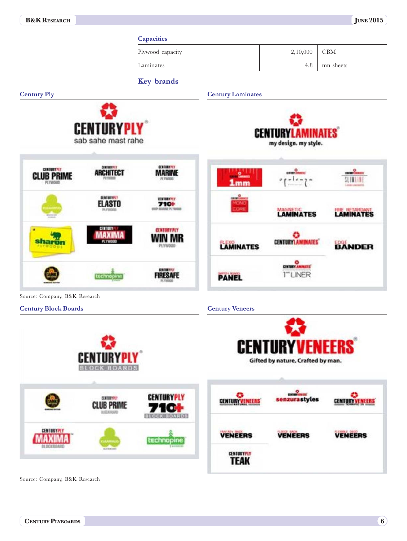|                                                              |                                                                     | <b>Capacities</b>                                            |                                  |                                                            |                       |
|--------------------------------------------------------------|---------------------------------------------------------------------|--------------------------------------------------------------|----------------------------------|------------------------------------------------------------|-----------------------|
|                                                              |                                                                     | Plywood capacity                                             |                                  | 2,10,000                                                   | CBM                   |
|                                                              |                                                                     | Laminates                                                    |                                  | 4.8                                                        | mn sheets             |
|                                                              |                                                                     | Key brands                                                   |                                  |                                                            |                       |
| <b>Century Ply</b>                                           |                                                                     |                                                              | <b>Century Laminates</b>         |                                                            |                       |
|                                                              | <b>CENTURYPL</b><br>sab sahe mast rahe                              |                                                              |                                  | <b>CENTURYLAMINATES</b><br>my design. my style.            |                       |
| <b>CENTURY PLF</b><br>PL TWOOD                               | <b>CONTINERIALS</b><br>ARCHITECT                                    | <b>GENERATIVE</b><br><b>MARINE</b><br>PE FWDDG               | <b>ATTENT</b>                    |                                                            |                       |
|                                                              | <b>CONTRACTOR</b><br><b>ELASTO</b><br>PLYMODS                       | <b>CENTRATIVE</b><br>710+<br><b><i>INF MARKE PCYMODS</i></b> |                                  | LAMINATES                                                  | LAMINATES             |
| Sha                                                          |                                                                     | <b>CENTRATALY</b><br>PLYW00                                  | <b>LAMINATES</b>                 | <b>CENTURY LAMINATES</b>                                   | EDGE<br><b>BANDER</b> |
|                                                              | technopin                                                           | <b>CIRCUITY</b>                                              | <b>PANEL</b>                     | ۰<br><b>CENTURY AMERICA</b><br><b>LINER</b>                |                       |
| Source: Company, B&K Research<br><b>Century Block Boards</b> |                                                                     |                                                              | <b>Century Veneers</b>           |                                                            |                       |
|                                                              | W<br><b>CENTURYPLY</b><br><b>BLOCK BOARDS</b>                       |                                                              |                                  | <b>CENTURYVENEERS</b><br>Gifted by nature, Crafted by man. |                       |
|                                                              | <b>DENTISYPET</b><br><b>CLUB PRIME</b><br><b><i>BLOCKHOARDS</i></b> | <b>CENTURYPLY</b><br>710+<br><b>BLOCK BOARDS</b>             | ۰<br><b>CENTURY VENEERS</b>      | <b>CANNON</b><br>senzurastyles                             | <b>CENTURYVENEERS</b> |
| <b>CENTURYPLY</b><br><b>MAXIMA</b><br>BLOCKBOARD             |                                                                     | technopine                                                   | <b>VENEERS</b>                   | <b>VENEERS</b>                                             | <b>VENEERS</b>        |
|                                                              | autonom                                                             |                                                              | <b>CENTURYPLY</b><br><b>TEAK</b> |                                                            |                       |

Source: Company, B&K Research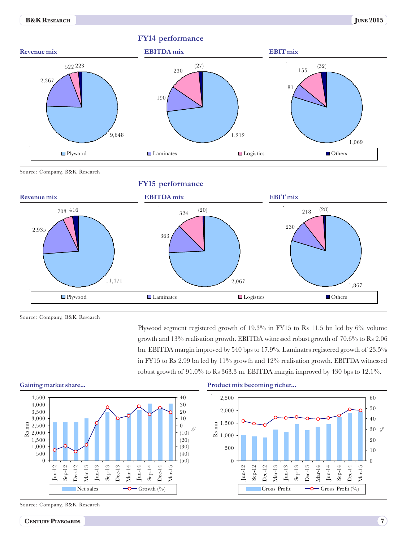

Source: Company, B&K Research

**FY15 performance**



Source: Company, B&K Research

Plywood segment registered growth of 19.3% in FY15 to Rs 11.5 bn led by 6% volume growth and 13% realisation growth. EBITDA witnessed robust growth of 70.6% to Rs 2.06 bn. EBITDA margin improved by 540 bps to 17.9%. Laminates registered growth of 23.5% in FY15 to Rs 2.99 bn led by 11% growth and 12% realisation growth. EBITDA witnessed robust growth of  $91.0\%$  to Rs 363.3 m. EBITDA margin improved by 430 bps to 12.1%.



#### **Gaining market share...**

Source: Company, B&K Research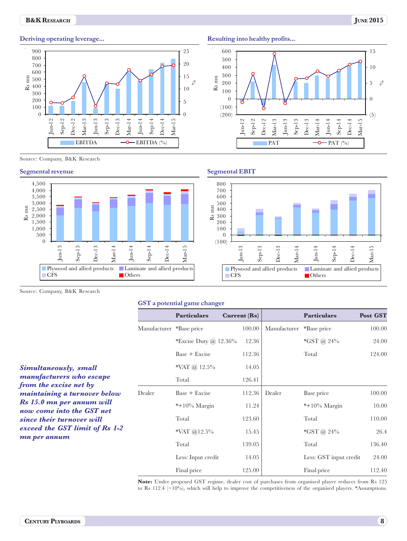#### **B&K R**ESEARCH **JUNE 2015**



Source: Company, B&K Research





**Resulting into healthy profits...**



#### **Segmental EBIT**



Source: Company, B&K Research

#### **GST a potential game changer**

|                                                        |                          | <b>Particulars</b>      | Current(Rs) |              | <b>Particulars</b>     | Post GST |
|--------------------------------------------------------|--------------------------|-------------------------|-------------|--------------|------------------------|----------|
|                                                        | Manufacturer *Base price |                         | 100.00      | Manufacturer | *Base price            | 100.00   |
|                                                        |                          | *Excise Duty $@$ 12.36% | 12.36       |              | *GST @ $24\%$          | 24.00    |
|                                                        |                          | $Base + Exercise$       | 112.36      |              | Total                  | 124.00   |
| Simultaneously, small                                  |                          | *VAT @ $12.5\%$         | 14.05       |              |                        |          |
| manufacturers who escape<br>from the excise net by     |                          | Total                   | 126.41      |              |                        |          |
| maintaining a turnover below                           | Dealer                   | $Base + Exercise$       | 112.36      | Dealer       | Base price             | 100.00   |
| Rs 15.0 mn per annum will<br>now come into the GST net |                          | $*+10\%$ Margin         | 11.24       |              | $*+10\%$ Margin        | 10.00    |
| since their turnover will                              |                          | Total                   | 123.60      |              | Total                  | 110.00   |
| exceed the GST limit of Rs 1-2                         |                          | *VAT @12.5%             | 15.45       |              | *GST @ $24\%$          | 26.4     |
| mn per annum                                           |                          | Total                   | 139.05      |              | Total                  | 136.40   |
|                                                        |                          | Less: Input credit      | 14.05       |              | Less: GST input credit | 24.00    |
|                                                        |                          | Final price             | 125.00      |              | Final price            | 112.40   |

**Note:** Under proposed GST regime, dealer cost of purchases from organised player reduces from Rs 125 to Rs 112.4 (~10%), which will help to improve the competitiveness of the organised players. \*Assumptions.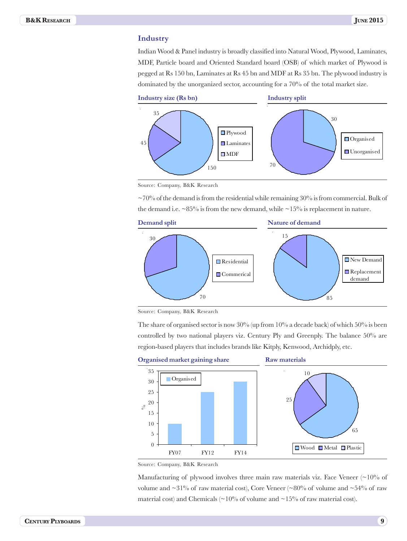#### **Industry**

Indian Wood & Panel industry is broadly classified into Natural Wood, Plywood, Laminates, MDF, Particle board and Oriented Standard board (OSB) of which market of Plywood is pegged at Rs 150 bn, Laminates at Rs 45 bn and MDF at Rs 35 bn. The plywood industry is dominated by the unorganized sector, accounting for a 70% of the total market size.



Source: Company, B&K Research

 $\sim$ 70% of the demand is from the residential while remaining 30% is from commercial. Bulk of the demand i.e.  $\sim 85\%$  is from the new demand, while  $\sim 15\%$  is replacement in nature.



Source: Company, B&K Research

The share of organised sector is now  $30\%$  (up from 10% a decade back) of which 50% is been controlled by two national players viz. Century Ply and Greenply. The balance 50% are region-based players that includes brands like Kitply, Kenwood, Archidply, etc.



Source: Company, B&K Research

Manufacturing of plywood involves three main raw materials viz. Face Veneer  $\sim 10\%$  of volume and  $\sim$ 31% of raw material cost), Core Veneer ( $\sim$ 80% of volume and  $\sim$ 54% of raw material cost) and Chemicals ( $\sim$ 10% of volume and  $\sim$ 15% of raw material cost).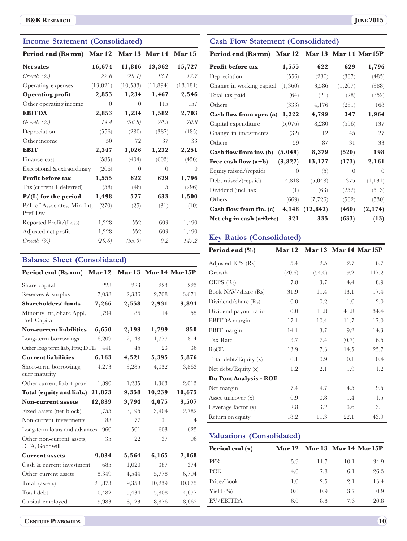# **B&K RESEARCH JUNE 2015**

| <b>Income Statement (Consolidated)</b>         |                |           |           |           |  |
|------------------------------------------------|----------------|-----------|-----------|-----------|--|
| Period end (Rs mn) Mar 12 Mar 13 Mar 14 Mar 15 |                |           |           |           |  |
| <b>Net sales</b>                               | 16,674         | 11,816    | 13,362    | 15,727    |  |
| Growth $(%$                                    | 22.6           | (29.1)    | 13.1      | 17.7      |  |
| Operating expenses                             | (13,821)       | (10, 583) | (11, 894) | (13, 181) |  |
| <b>Operating profit</b>                        | 2,853          | 1,234     | 1,467     | 2,546     |  |
| Other operating income                         | $\overline{0}$ | $\Omega$  | 115       | 157       |  |
| <b>EBITDA</b>                                  | 2,853          | 1,234     | 1,582     | 2,703     |  |
| Growth $(\%)$                                  | 14.4           | (56.8)    | 28.3      | 70.8      |  |
| Depreciation                                   | (556)          | (280)     | (387)     | (485)     |  |
| Other income                                   | 50             | 72        | 37        | 33        |  |
| <b>EBIT</b>                                    | 2,347          | 1,026     | 1,232     | 2,251     |  |
| Finance cost                                   | (585)          | (404)     | (603)     | (456)     |  |
| Exceptional & extraordinary                    | (206)          | $\theta$  | $\Omega$  | $\theta$  |  |
| Profit before tax                              | 1,555          | 622       | 629       | 1,796     |  |
| Tax (current + deferred)                       | (58)           | (46)      | 5         | (296)     |  |
| $P/(L)$ for the period                         | 1,498          | 577       | 633       | 1,500     |  |
| P/L of Associates, Min Int,<br>Pref Div        | (270)          | (25)      | (31)      | (10)      |  |
| Reported Profit/(Loss)                         | 1,228          | 552       | 603       | 1,490     |  |
| Adjusted net profit                            | 1,228          | 552       | 603       | 1,490     |  |
| Growth $(\%)$                                  | (20.6)         | (55.0)    | 9.2       | 147.2     |  |

| <b>Balance Sheet (Consolidated)</b>             |        |       |        |                |  |
|-------------------------------------------------|--------|-------|--------|----------------|--|
| Period end (Rs mn) Mar 12 Mar 13 Mar 14 Mar 15P |        |       |        |                |  |
| Share capital                                   | 228    | 223   | 223    | 223            |  |
| Reserves & surplus                              | 7,038  | 2,336 | 2,708  | 3,671          |  |
| <b>Shareholders' funds</b>                      | 7,266  | 2,558 | 2,931  | 3,894          |  |
| Minority Int, Share Appl,<br>Pref Capital       | 1,794  | 86    | 114    | 55             |  |
| <b>Non-current liabilities</b>                  | 6,650  | 2,193 | 1,799  | 850            |  |
| Long-term borrowings                            | 6,209  | 2,148 | 1,777  | 814            |  |
| Other long term liab, Prov, DTL                 | 441    | 45    | 23     | 36             |  |
| <b>Current liabilities</b>                      | 6,163  | 4,521 | 5,395  | 5,876          |  |
| Short-term borrowings,<br>curr maturity         | 4,273  | 3,285 | 4,032  | 3,863          |  |
| Other current liab + provi                      | 1,890  | 1,235 | 1,363  | 2,013          |  |
| Total (equity and liab.)                        | 21,873 | 9,358 | 10,239 | 10,675         |  |
| <b>Non-current assets</b>                       | 12,839 | 3,794 | 4,075  | 3,507          |  |
| Fixed assets (net block)                        | 11,755 | 3,195 | 3,404  | 2,782          |  |
| Non-current investments                         | 88     | 77    | 31     | $\overline{4}$ |  |
| Long-term loans and advances                    | 960    | 501   | 603    | 625            |  |
| Other non-current assets,<br>DTA, Goodwill      | 35     | 22    | 37     | 96             |  |
| <b>Current assets</b>                           | 9,034  | 5,564 | 6,165  | 7,168          |  |
| Cash & current investment                       | 685    | 1,020 | 387    | 374            |  |
| Other current assets                            | 8,349  | 4,544 | 5,778  | 6,794          |  |
| Total (assets)                                  | 21,873 | 9,358 | 10,239 | 10,675         |  |
| Total debt                                      | 10,482 | 5,434 | 5,808  | 4,677          |  |
| Capital employed                                | 19,983 | 8,123 | 8,876  | 8,662          |  |

| <b>JUNE 2015</b> |  |
|------------------|--|
|------------------|--|

| <b>Cash Flow Statement (Consolidated)</b>       |          |           |          |          |  |
|-------------------------------------------------|----------|-----------|----------|----------|--|
| Period end (Rs mn) Mar 12 Mar 13 Mar 14 Mar 15P |          |           |          |          |  |
| Profit before tax                               | 1,555    | 622       | 629      | 1,796    |  |
| Depreciation                                    | (556)    | (280)     | (387)    | (485)    |  |
| Change in working capital $(1,360)$             |          | 3,586     | (1,207)  | (388)    |  |
| Total tax paid                                  | (64)     | (21)      | (28)     | (352)    |  |
| Others                                          | (333)    | 4,176     | (281)    | 168      |  |
| <b>Cash flow from oper.</b> (a)                 | 1,222    | 4,799     | 347      | 1,964    |  |
| Capital expenditure                             | (5,076)  | 8,280     | (596)    | 137      |  |
| Change in investments                           | (32)     | 12        | 45       | 27       |  |
| Others                                          | 59       | 87        | 31       | 33       |  |
| <b>Cash flow from inv.</b> (b)                  | (5, 049) | 8,379     | (520)    | 198      |  |
| Free cash flow $(a+b)$                          | (3,827)  | 13,177    | (173)    | 2,161    |  |
| Equity raised/(repaid)                          | $\theta$ | (5)       | $\theta$ | $\Omega$ |  |
| Debt raised/(repaid)                            | 4,818    | (5,048)   | 375      | (1, 131) |  |
| Dividend (incl. tax)                            | (1)      | (63)      | (252)    | (513)    |  |
| Others                                          | (669)    | (7, 726)  | (582)    | (530)    |  |
| <b>Cash flow from fin.</b> (c)                  | 4,148    | (12, 842) | (460)    | (2, 174) |  |
| Net chg in cash $(a+b+c)$                       | 321      | 335       | (633)    | (13)     |  |

# **Key Ratios (Consolidated)**

| Period end $(\% )$      | <b>Mar 12</b> |        |       | Mar 13 Mar 14 Mar 15P |
|-------------------------|---------------|--------|-------|-----------------------|
| Adjusted EPS (Rs)       | 5.4           | 2.5    | 2.7   | 6.7                   |
| Growth                  | (20.6)        | (54.0) | 9.2   | 147.2                 |
| $CEPS$ $(Rs)$           | 7.8           | 3.7    | 4.4   | 8.9                   |
| Book NAV/share (Rs)     | 31.9          | 11.4   | 13.1  | 17.4                  |
| Dividend/share (Rs)     | 0.0           | 0.2    | 1.0   | 2.0                   |
| Dividend payout ratio   | 0.0           | 11.8   | 41.8  | 34.4                  |
| EBITDA margin           | 17.1          | 10.4   | 11.7  | 17.0                  |
| EBIT margin             | 14.1          | 8.7    | 9.2   | 14.3                  |
| <b>Tax Rate</b>         | 3.7           | 7.4    | (0.7) | 16.5                  |
| RoCE                    | 13.9          | 7.3    | 14.5  | 25.7                  |
| Total debt/Equity $(x)$ | 0.1           | 0.9    | 0.1   | 0.4                   |
| Net debt/Equity (x)     | 1.2           | 2.1    | 1.9   | 1.2                   |
| Du Pont Analysis - ROE  |               |        |       |                       |
| Net margin              | 7.4           | 4.7    | 4.5   | 9.5                   |
| Asset turnover $(x)$    | 0.9           | 0.8    | 1.4   | 1.5                   |
| Leverage factor $(x)$   | 2.8           | 3.2    | 3.6   | 3.1                   |
| Return on equity        | 18.2          | 11.3   | 22.1  | 43.9                  |

# **Valuations (Consolidated)**

| Period end $(x)$                 | <b>Mar 12</b> | <b>Mar 13 Mar 14 Mar 15P</b> |      |      |
|----------------------------------|---------------|------------------------------|------|------|
| <b>PER</b>                       | 5.9           | 11.7                         | 10.1 | 34.9 |
| PCE                              | 4.0           | 7.8                          | 6.1  | 26.3 |
| Price/Book                       | 1.0           | 2.5                          | 2.1  | 13.4 |
| Yield $\left(\frac{0}{0}\right)$ | 0.0           | 0.9                          | 3.7  | 0.9  |
| EV/EBITDA                        | 6.0           | 8.8                          | 7.3  | 20.8 |